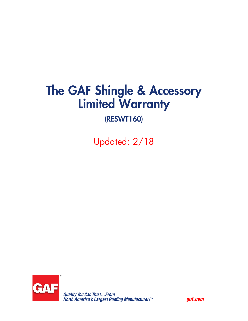# The GAF Shingle & Accessory Limited Warranty

## (RESWT160)

Updated: 2/18



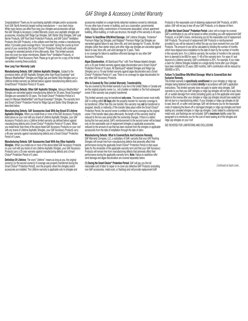Congratulations! Thank you for purchasing asphaltic shingles and/or accessories from GAF, North America's largest roofing manufacturer — your best choice. While many factors can affect how long your shingles and accessories will last, this GAF Shingle & Accessory Limited Warranty covers your asphaltic shingles and accessories, including GAF Ridge Cap Shingles, GAF Starter Strip Shingles, GAF Leak Barrier Products, GAF Roof Deck Protection Products, and GAF Cobra® Ventilation Products (the GAF Products), in the unlikely event that they contain a manufacturing defect. It provides great coverage that is "non-prorated" during the crucial up-front period of your ownership (the Smart Choice® Protection Period) with continued coverage for extended periods of time afterwards. Note: This limited warranty does not cover low-slope membranes, Master Flow® Ventilation Products, or ShingleMatch™ Roof Accessory Paint. Please go to gaf.com for a copy of the limited warranties covering these products.

#### **How Long Your Warranty Lasts**

**Manufacturing Defects: GAF Lifetime Asphaltic Shingles.** Subject to the provisions below, all GAF Asphaltic Shingles other than Royal Sovereign® and Marquis WeatherMax® Shingles and Ridge Cap and Starter Strip Shingles carry a Lifetime limited warranty (as defined below) against manufacturing defects and a SmartChoice® Protection Period of 10 years.

**Manufacturing Defects: Other GAF Asphaltic Shingles.** Marquis WeatherMax® Shingles are warranted against manufacturing defects for 30 years; Royal Sovereign® Shingles are warranted for 25 years. The Smart Choice® Protection Period is 5 years for Marquis WeatherMax® and Royal Sovereign® Shingles. The warranty term and Smart Choice® Protection Period for Ridge Cap and Starter Strip Shingles are described below.

**Manufacturing Defects: GAF Accessories Used With Any Brand Of Lifetime** 

**Asphaltic Shingles.** When you install three or more of the GAF Accessory Products listed above on your roof with any brand of Lifetime Asphaltic Shingles, your GAF Accessory Products carry a Lifetime limited warranty (as defined below) against manufacturing defects and a Smart Choice® Protection Period of 10 years. When you install fewer than three of the above-listed GAF Accessory Products on your roof with any brand of Lifetime Asphaltic Shingles, your GAF Accessory Products carry a 40-year warranty against manufacturing defects and a Smart Choice® Protection Period of 5 years.

**Manufacturing Defects: GAF Accessories Used With Any Other Asphaltic** 

**Shingles.** When you install one or more of the above-listed GAF Accessory Products on your roof with any brand of non-Lifetime Asphaltic Shingles, your GAF Accessory Products carry a 25-year warranty against manufacturing defects and a Smart Choice**®** Protection Period of 5 years.

**Definition Of Lifetime:** The word "Lifetime" means as long as you, the original owner(s) [or the second owner(s) if coverage was properly transferred during the Smart Choice® Protection Period], own the property where the shingles and/or accessories are installed. The Lifetime warranty is applicable only to shingles and

### *GAF Shingle & Accessory Limited Warranty*

accessories installed on a single-family detached residence owned by individuals. For any other type of owner or building, such as a corporation, governmental entity, religious entity, condominium or homeowner association, school, apartment building, office building, or multi-use structure, the length of the warranty is 40 years.

**Failure To Seal/Blow-Offs/Wind Damage.** GAF Lifetime Shingles, Timbertex® Premium Ridge Cap Shingles, and Ridglass® Premium Ridge Cap Shingles are warranted against failure to seal, blow-offs, and wind damage for 15 years. All other shingles (other than starter strips) and other ridge cap shingles are warranted against failure to seal, blow-offs, and wind damage for 5 years. There is no coverage for failure to seal/blow-offs/wind damage for any other GAF Accessory Products.

**Algae Discoloration.** All StainGuard Plus™ with Time Release-labeled shingles carry a 25-year limited warranty against algae discoloration and a Smart Choice® Protection Period of 10 years. All StainGuard®-labeled Shingles and Ridge Cap Shingles carry a 10-year limited warranty against algae discoloration and a Smart Choice® Protection Period of 1 year. There is no coverage for algae discoloration for any other GAF Accessory Products.

#### **Who Is Covered By This Limited Warranty; Transferability.**

You are covered by this limited warranty if you live in the United States or Canada and are the original property owner (i.e., not a builder or installer) or the first subsequent owner if this warranty was properly transferred.

This limited warranty may be transferred **only once.** The second owner must notify GAF in writing within **60 days** after the property transfer for warranty coverage to be transferred. (Other than this one transfer, this warranty may **not** be transferred or assigned, directly or indirectly.) If the transfer takes place within the Smart Choice® Protection Period, the second owner is entitled to the same coverage as the original owner. If the transfer takes place afterwards, the length of this warranty shall be reduced to the two-year period after the ownership changes. If there is a defect during this two-year period, GAF's reimbursement to the second owner will be based only on the reasonable cost of replacement shingles or applicable accessories, reduced by the amount of use that has been received from the shingles or applicable accessories from the date of installation through the date of claim.

#### **Manufacturing Defects: What Is Covered/Sole And Exclusive Remedy.**

GAF Warranty Company, LLC, a subsidiary of GAF, warrants that your GAF Roofing Shingles will remain free from manufacturing defects that adversely affect their performance during the applicable Smart Choice® Protection Period or that cause leaks for the remainder of the applicable warranty term and that your GAF Accessory Products will remain free from manufacturing defects that adversely affect their performance during the applicable warranty term. **Note:** Failure to seal/blow-offs/ wind damage and algae discoloration are covered separately below.

**(1) During the Smart Choice® Protection Period:** GAF will pay you the full reasonable cost of labor to repair or re-cover any defective GAF Products (excluding non-GAF accessories, metal work, or flashing) and will provide replacement GAF

Products or the reasonable cost of obtaining replacement GAF Products, at GAF's option. GAF will not pay to tear off your GAF Products, or to dispose of them.

**(2) After the Smart Choice® Protection Period:** Labor will no longer be covered. GAF's contribution to you will be based on either providing you with replacement GAF Products, or at GAF's choice, reimbursing you for the reasonable cost of replacement GAF Products. The amount of replacement GAF Products or reimbursement provided to you will be reduced to reflect the use you have received from your GAF Products. The amount of use will be calculated by dividing the number of months which have elapsed since installation to the date of claim by the number of months in the warranty term. For a Lifetime warranty, the number of months in the warranty term is deemed to be 600 for years 11-40 of the warranty term. For years 41 and beyond of a Lifetime warranty, GAF's contribution is 20%. For example, if you make a claim for Lifetime Shingles installed on a single-family home after your shingles have been installed for 25 years (300 months), GAF's contribution will be reduced by 300/600 or 50%.

#### **Failure To Seal/Blow-Offs/Wind Damage: What Is Covered/Sole And Exclusive Remedy.**

This limited warranty is **specifically conditioned** on your shingles or ridge cap shingles being fastened and installed **strictly** in accordance with GAF's application instructions. This limited warranty does not apply to starter strip shingles. GAF warrants to you that your GAF shingles or ridge cap shingles will not fail to seal, blow off, or sustain damage from winds (including gusts) up to the applicable wind speed listed on the reverse after your shingles or ridge cap shingles should have sealed but did not due to a manufacturing defect. If your shingles or ridge cap shingles do fail to seal, blow off, or suffer wind damage, GAF will reimburse you for the reasonable costs of replacing the blown-off or damaged shingles or ridge cap shingles and handsealing any unsealed shingles or ridge cap shingles. Costs related to underlayment, metal work, and flashings are not included. GAF's **maximum** liability under this paragraph is to reimburse you for the cost of hand-sealing all of the shingles and ridge cap shingles on your roof.

SEE REVERSE FOR LIMITATIONS AND EXCLUSIONS

*Continued on back cover...*